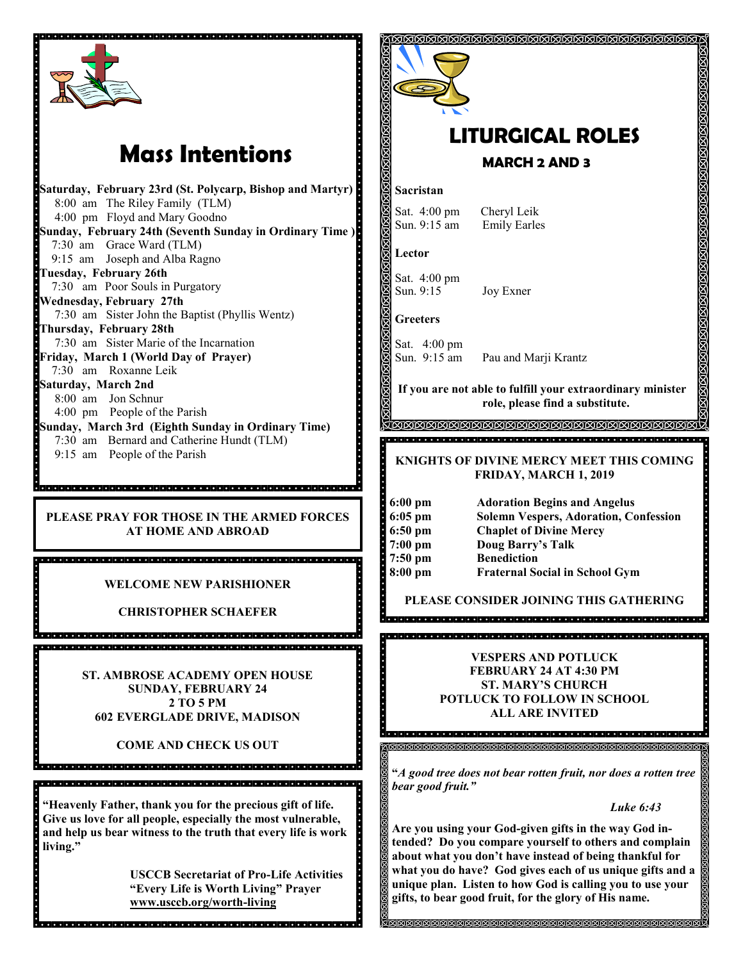

# **Mass Intentions**

**Saturday, February 23rd (St. Polycarp, Bishop and Martyr)** 8:00 am The Riley Family (TLM) 4:00 pm Floyd and Mary Goodno **Sunday, February 24th (Seventh Sunday in Ordinary Time )** 7:30 am Grace Ward (TLM) 9:15 am Joseph and Alba Ragno **Tuesday, February 26th** 7:30 am Poor Souls in Purgatory **Wednesday, February 27th** 7:30 am Sister John the Baptist (Phyllis Wentz) **Thursday, February 28th**  7:30 am Sister Marie of the Incarnation **Friday, March 1 (World Day of Prayer)** 7:30 am Roxanne Leik **Saturday, March 2nd** 8:00 am Jon Schnur 4:00 pm People of the Parish **Sunday, March 3rd (Eighth Sunday in Ordinary Time)** 7:30 am Bernard and Catherine Hundt (TLM) 9:15 am People of the Parish

**PLEASE PRAY FOR THOSE IN THE ARMED FORCES AT HOME AND ABROAD**

**WELCOME NEW PARISHIONER**

**CHRISTOPHER SCHAEFER**

**ST. AMBROSE ACADEMY OPEN HOUSE SUNDAY, FEBRUARY 24 2 TO 5 PM 602 EVERGLADE DRIVE, MADISON**

**COME AND CHECK US OUT**

**"Heavenly Father, thank you for the precious gift of life. Give us love for all people, especially the most vulnerable, and help us bear witness to the truth that every life is work living."**

**USCCB Secretariat of Pro-Life Activities "Every Life is Worth Living" Prayer www.usccb.org/worth-living**



# **LITURGICAL ROLES MARCH 2 AND 3**

#### **Sacristan**

Sat. 4:00 pm Cheryl Leik Sun. 9:15 am Emily Earles

**Lector**

Sat. 4:00 pm Sun. 9:15 Joy Exner

**Greeters**

Sat. 4:00 pm<br>Sun. 9:15 am Pau and Marji Krantz

**If you are not able to fulfill your extraordinary minister role, please find a substitute.** 

### **KNIGHTS OF DIVINE MERCY MEET THIS COMING FRIDAY, MARCH 1, 2019**

| $6:00 \text{ pm}$     | Adorat        |
|-----------------------|---------------|
| $\frac{1}{9}$ 6:05 pm | Solemr        |
| $6:50 \text{ pm}$     | Chaple        |
| $\frac{1}{2}$ 7:00 pm | Doug I        |
| $7:50 \text{ pm}$     | <b>Benedi</b> |
| $8:00$ pm             | Frater        |

**6:00 pm Adoration Begins and Angelus 6:05 pm Solemn Vespers, Adoration, Confession 6:50 pmarriers** Mercy **7:00 pm Doug Barry's Talk 7:50 pm Benediction al Social in School Gym** 

**PLEASE CONSIDER JOINING THIS GATHERING**

### **VESPERS AND POTLUCK FEBRUARY 24 AT 4:30 PM ST. MARY'S CHURCH POTLUCK TO FOLLOW IN SCHOOL ALL ARE INVITED**

**"***A good tree does not bear rotten fruit, nor does a rotten tree bear good fruit."*

*Luke 6:43*

**Are you using your God-given gifts in the way God intended? Do you compare yourself to others and complain about what you don't have instead of being thankful for what you do have? God gives each of us unique gifts and a unique plan. Listen to how God is calling you to use your gifts, to bear good fruit, for the glory of His name.**